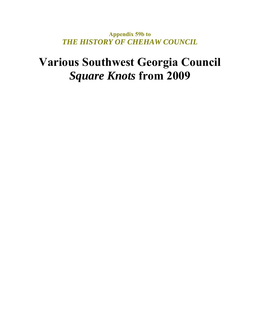**Appendix 59b to**  *THE HISTORY OF CHEHAW COUNCIL* 

### **Various Southwest Georgia Council**  *Square Knots* **from 2009**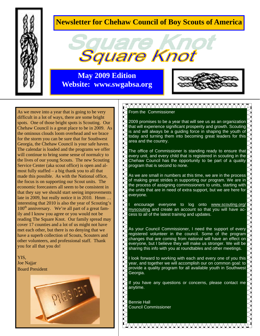

### **Newsletter for Chehaw Council of Boy Scouts of America**



**May 2009 Edition Website: www.swgabsa.org** 



As we move into a year that is going to be very difficult in a lot of ways, there are some bright spots. One of those bright spots is Scouting. Our Chehaw Council is a great place to be in 2009. As the ominous clouds loom overhead and we brace for the storm you can be sure that for Southwest Georgia, the Chehaw Council is your safe haven. The calendar is loaded and the programs we offer will continue to bring some sense of normalcy to the lives of our young Scouts. The new Scouting Service Center (aka scout office) is open and almost fully staffed – a big thank you to all that made this possible. As with the National office, the focus is on supporting our Scout units. The economic forecasters all seem to be consistent in that they say we should start seeing improvements late in 2009, but really notice it in 2010. Hmm … interesting that 2010 is also the year of Scouting's  $100<sup>th</sup>$  anniversary. We're all part of a great family and I know you agree or you would not be reading The Square Knot. Our family spread may cover 17 counties and a lot of us might not have met each other, but there is no denying that we have a superb collection of Scouts, Scouters and other volunteers, and professional staff. Thank you for all that you do!

YIS, Joe Najjar Board President



#### TVVVVVVVVVVVVVVVVVVVVVVVVVV

From the Commissioner

2009 promises to be a year that will see us as an organization that will experience significant prosperity and growth. Scouting is and will always be a guiding force in shaping the youth of today and turning them into becoming great leaders for this area and the country.

The office of Commissioner is standing ready to ensure that every unit, and every child that is registered in scouting in the Chehaw Council has the opportunity to be part of a quality program that is second to none.

As we are small in numbers at this time, we are in the process of making great strides in supporting our program. We are in the process of assigning commissioners to units, starting with the units that are in need of extra support, but we are here for everyone.

encourage everyone to log onto www.scouting.org/ myscouting and create an account so that you will have access to all of the latest training and updates.

As your Council Commissioner, I need the support of every registered volunteer in the council. Some of the program changes that are coming from national will have an effect on everyone, but I believe they will make us stronger. We will be sharing this info with you at roundtables and other meetings.

I look forward to working with each and every one of you this year, and together we will accomplish our on common goal: to provide a quality program for all available youth in Southwest Georgia.

If you have any questions or concerns, please contact me anytime.

2<del>7000000000000000000000000</del>

Bennie Hall Council Commissioner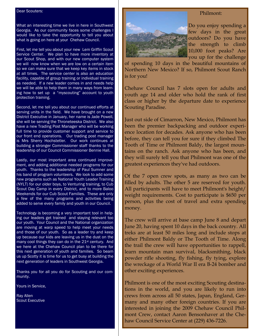#### Dear Scouters:

What an interesting time we live in here in Southwest Georgia. As our community faces some challenges I would like to take the opportunity to tell you about what is going on here at your Chehaw Council.

First, let me tell you about your new Lem Griffin Scout Service Center. We plan to have more inventory at our Scout Shop, and with our new computer system we will now know when we are low on a certain item so we can make sure that we keep key items in stock at all times. The service center is also an education facility, capable of group training or individual training as needed. If a new leader comes in and needs help we will be able to help them in many ways from learning how to set up a "myscouting" account to youth protection training.

Second, let me tell you about our continued efforts at serving units in the field. We have brought on a new District Executive in January, her name is Jade Powell, she will be serving the Throneteeska District. We also have a new Trading Post Manager who will be working full time to provide customer support and service to our front end operations. Our trading post manager is Mrs Sherry Hochstetler. Our work continues at building a stronger Commissioner staff thanks to the leadership of our Council Commissioner Bennie Hall.

Lastly, our most important area continued improvement, and adding additional needed programs for our youth. Thanks to the leadership of Paul Sumner and his band of program volunteers. We look to add some new programs such as National Youth Leader Training (NYLT) for our older boys, to Venturing training, to Cub Scout Day Camp in every District, and to more Baloo Weekends for our Cub Scout Families. These are only a few of the many programs and activities being added to serve every family and youth in our Council.

Technology is becoming a very important tool in helping our leaders get trained and staying relevant too our youth. Your Council and the National organization are moving at warp speed to help meet your needs and those of our youth. So as a leader try and keep up because our kids are leaving us in the dust on the many cool things they can do in the  $21<sup>st</sup>$  century. And we here at the Chehaw Council plan to be there for this next generation of youth and families. So beam us up Scotty it is time for us to get busy at building the next generation of leaders in Southwest Georgia.

Thanks you for all you do for Scouting and our community.

Yours in Service,

Ray Allen Scout Executive



#### Philmont:

Do you enjoy spending a few days in the great outdoors? Do you have the strength to climb 10,000 foot peaks? Are you up for the challenge

of spending 10 days in the beautiful mountains of Northern New Mexico? If so, Philmont Scout Ranch is for you!

Chehaw Council has 7 slots open for adults and youth age 14 and older who hold the rank of first class or higher by the departure date to experience Scouting Paradise.

Just out side of Cimarron, New Mexico, Philmont has been the premier backpacking and outdoor experience location for decades. Ask anyone who has been before, they can tell you for sure if they climbed The Tooth of Time or Philmont Baldy, the largest mountains on the ranch. Ask anyone who has been, and they will surely tell you that Philmont was one of the greatest experiences they've had outdoors.

Of the 7 open crew spots, as many as two can be filled by adults. The other 5 are reserved for youth. All participants will have to meet Philmont's height/ weight requirements. Cost to participate is \$650 per person, plus the cost of travel and extra spending money.

The crew will arrive at base camp June 8 and depart June 20, having spent 10 days in the back country. All treks are at least 50 miles long and include stops at either Philmont Baldy or The Tooth of Time. Along the trail the crew will have opportunities to rappell, learn mountain man survival, blacksmithing, black powder rifle shooting, fly fishing, fly tying, explore the wreckage of a World War II era B-24 bomber and other exciting experiences.

Philmont is one of the most exciting Scouting destinations in the world, and you are likely to run into crews from across all 50 states, Japan, England, Germany and many other foreign countries. If you are interested in joining the 2009 Chehaw Council Philmont Crew, contact Aaron Bensonhaver at the Chehaw Council Service Center at (229) 436-7226.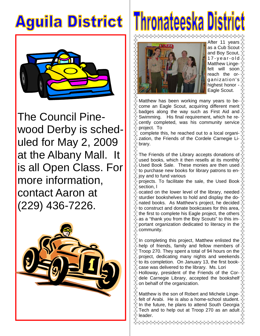### **Aguila District**



The Council Pinewood Derby is scheduled for May 2, 2009 at the Albany Mall. It is all Open Class. For more information, contact Aaron at (229) 436-7226.



# Thronateeska District



After 11 years as a Cub Scout and Boy Scout, 1 7 - y e a r - o l d Matthew Lingefelt will soon reach the or ganization's highest honor -Eagle Scout.

Matthew has been working many years to become an Eagle Scout, acquiring different merit badges along the way such as First Aid and Swimming. His final requirement, which he recently completed, was his community service project. To

 complete this, he reached out to a local organization, the Friends of the Cordele Carnegie Library.

The Friends of the Library accepts donations of used books, which it then resells at its monthly Used Book Sale. These monies are then used to purchase new books for library patrons to en- $\%$  joy and to fund various

projects. To facilitate the sale, the Used Book section, l

ocated on the lower level of the library, needed sturdier bookshelves to hold and display the donated books. As Matthew's project, he decided to construct and donate bookcases for this area, the first to complete his Eagle project, the others as a "thank you from the Boy Scouts" to this important organization dedicated to literacy in the community.

In completing this project, Matthew enlisted the help of friends, family and fellow members of Troop 270. They spent a total of 94 hours on the project, dedicating many nights and weekends to its completion. On January 13, the first bookcase was delivered to the library. Ms. Lori Holloway, president of the Friends of the Cordele Carnegie Library, accepted the bookshelf on behalf of the organization.

Matthew is the son of Robert and Michele Linge- $\stackrel{\text{\tiny{*}}}{\sim}$  felt of Arabi. He is also a home-school student. In the future, he plans to attend South Georgia Tech and to help out at Troop 270 as an adult leader.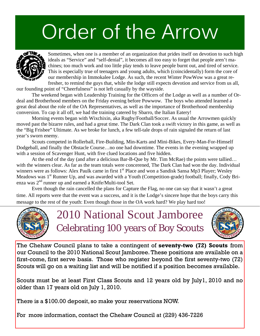## Order of the Arrow



Sometimes, when one is a member of an organization that prides itself on devotion to such high ideals as "Service" and "self-denial", it becomes all too easy to forget that people aren't machines; too much work and too little play tends to leave people burnt out, and tired of service. This is especially true of teenagers and young adults, which (coincidentally) form the core of our membership in Immokalee Lodge. As such, the recent Winter PowWow was a great refresher, to remind the guys that, while the lodge still expects devotion and service from us all,

our founding point of "Cheerfulness" is not left casually by the wayside.

 The weekend began with Leadership Training for the Officers of the Lodge as well as a number of Ordeal and Brotherhood members on the Friday evening before Powwow. The boys who attended learned a great deal about the role of the OA Representatives, as well as the importance of Brotherhood membership conversion. To cap it all off, we had the training catered by Sbarro, the Italian Eatery!

Morning events began with Wixchixin, aka Rugby/Football/Soccer. As usual the Arrowmen quickly moved past the bizarre rules, and had a great time. The Dark Clan took a swift victory in this game, as well as the "Big Frisbee" Ultimate. As we broke for lunch, a few tell-tale drops of rain signaled the return of last year's sworn enemy.

 Scouts competed in Rollerball, Fire-Building, Min-Karts and Mini-Bikes, Every-Man-For-Himself Dodgeball, and finally the Obstacle Course…no one had downtime. The events in the evening wrapped up with a session of Scavenger Hunt, with five clued locations and five hidden.

 At the end of the day (and after a delicious Bar-B-Que by Mr. Tim McRae) the points were tallied… with the winners clear. As far as the team totals were concerened, The Dark Clan had won the day. Individual winners were as follows: Alex Paulk came in first  $1<sup>st</sup>$  Place and won a Sandisk Sansa Mp3 Player; Wesley Meadows was 1<sup>st</sup> Runner Up, and was awarded with a Youth (Competition-grade) football; finally, Cody Brienza was 2nd runner up and earned a Knife/Multi-tool Set.

 Even though the rain cancelled the plans for Capture the Flag, no one can say that it wasn't a great time. All reports were that the event was a success, and it is the Lodge's sincere hope that the boys carry this message to the rest of the youth: Even though those in the OA work hard? We play hard too!



2010 National Scout Jamboree Celebrating 100 years of Boy Scouts



The Chehaw Council plans to take a contingent of **seventy-two (72) Scouts** from our Council to the 2010 National Scout Jamboree. These positions are available on a first-come, first serve basis. Those who register beyond the first seventy-two (72) Scouts will go on a waiting list and will be notified if a position becomes available.

Scouts must be at least First Class Scouts and 12 years old by July1, 2010 and no older than 17 years old on July 1, 2010.

There is a \$100.00 deposit, so make your reservations NOW.

For more information, contact the Chehaw Council at (229) 436-7226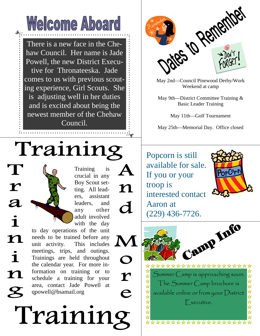

There is a new face in the Chehaw Council. Her name is Jade Powell, the new District Executive for Thronateeska. Jade comes to us with previous scouting experience, Girl Scouts. She is adjusting well in her duties and is excited about being the newest member of the Chehaw Council.

## Training



May 2nd—Council Pinewood Derby/Work Weekend at camp

May 9th—District Committee Training & Basic Leader Training

May 11th—Golf Tournament

May 25th—Memorial Day. Office closed

Popcorn is still available for sale. If you or your troop is interested contact Aaron at



 $(229)$  436-7726. M \*\*\*\*\*\*\*\*\*\*\*\*\*\*\*\*\*\*\*\*\* 计算 Summer Camp is approaching soon. \*\*\*\*\*\*\*\* The Summer Camp brochure is available online or from your District Executive. ଧ \*\*\*\*\*\*\*\*\*\*\*\*\*\*\*\*

 $\overline{\boldsymbol{a}}$  $\mathbf i$  $\mathbf n$  $\ddot{\mathbf{1}}$  ${\bf n}$ 

 $\boldsymbol{r}$ 

Training is crucial in any Boy Scout setting. All leaders, assistant leaders, and any other adult involved with the day

 $\mathbf n$ 

d

 $\mathbf O$ 

 ${\bf r}$ 

e

to day operations of the unit needs to be trained before any unit activity. This includes meetings, trips, and outings. Trainings are held throughout the calendar year. For more information on training or to schedule a training for your area, contact Jade Powell at qpowell@bsamail.org

Training